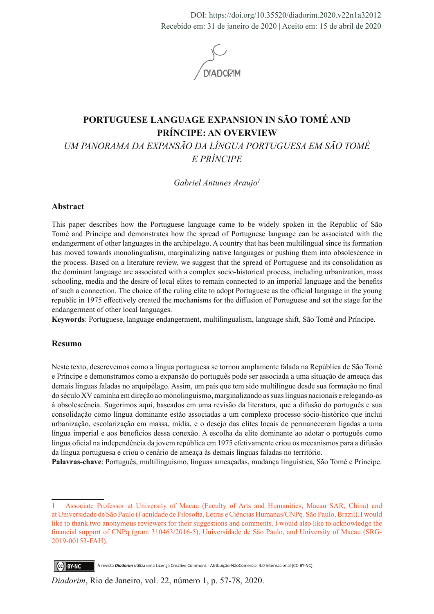DOI: https://doi.org/10.35520/diadorim.2020.v22n1a32012 Recebido em: 31 de janeiro de 2020 | Aceito em: 15 de abril de 2020



# **PORTUGUESE LANGUAGE EXPANSION IN SÃO TOMÉ AND PRÍNCIPE: AN OVERVIEW**

*UM PANORAMA DA EXPANSÃO DA LÍNGUA PORTUGUESA EM SÃO TOMÉ E PRÍNCIPE* 

*Gabriel Antunes Araujo1*

## **Abstract**

This paper describes how the Portuguese language came to be widely spoken in the Republic of São Tomé and Príncipe and demonstrates how the spread of Portuguese language can be associated with the endangerment of other languages in the archipelago. A country that has been multilingual since its formation has moved towards monolingualism, marginalizing native languages or pushing them into obsolescence in the process. Based on a literature review, we suggest that the spread of Portuguese and its consolidation as the dominant language are associated with a complex socio-historical process, including urbanization, mass schooling, media and the desire of local elites to remain connected to an imperial language and the benefits of such a connection. The choice of the ruling elite to adopt Portuguese as the official language in the young republic in 1975 effectively created the mechanisms for the diffusion of Portuguese and set the stage for the endangerment of other local languages.

**Keywords**: Portuguese, language endangerment, multilingualism, language shift, São Tomé and Príncipe.

### **Resumo**

Neste texto, descrevemos como a língua portuguesa se tornou amplamente falada na República de São Tomé e Príncipe e demonstramos como a expansão do português pode ser associada a uma situação de ameaça das demais línguas faladas no arquipélago. Assim, um país que tem sido multilíngue desde sua formação no final do século XV caminha em direção ao monolinguismo, marginalizando as suas línguas nacionais e relegando-as à obsolescência. Sugerimos aqui, baseados em uma revisão da literatura, que a difusão do português e sua consolidação como língua dominante estão associadas a um complexo processo sócio-histórico que inclui urbanização, escolarização em massa, mídia, e o desejo das elites locais de permanecerem ligadas a uma língua imperial e aos benefícios dessa conexão. A escolha da elite dominante ao adotar o português como língua oficial na independência da jovem república em 1975 efetivamente criou os mecanismos para a difusão da língua portuguesa e criou o cenário de ameaça às demais línguas faladas no território.

**Palavras-chave**: Português, multilinguismo, línguas ameaçadas, mudança linguística, São Tomé e Príncipe.

<sup>1</sup> Associate Professor at University of Macau (Faculty of Arts and Humanities, Macau SAR, China) and at Universidade de São Paulo (Faculdade de Filosofia, Letras e Ciências Humanas/CNPq. São Paulo, Brazil). I would like to thank two anonymous reviewers for their suggestions and comments. I would also like to acknowledge the financial support of CNPq (grant 310463/2016-5), Universidade de São Paulo, and University of Macau (SRG-2019-00153-FAH).

CC BY-NC A revista *Diadorim* utiliza uma Licença Creative Commons - Atribuição-NãoComercial 4.0 Internacional (CC-BY-NC).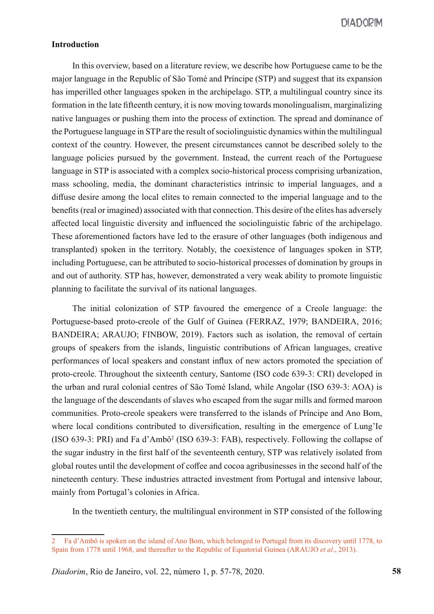## **Introduction**

In this overview, based on a literature review, we describe how Portuguese came to be the major language in the Republic of São Tomé and Príncipe (STP) and suggest that its expansion has imperilled other languages spoken in the archipelago. STP, a multilingual country since its formation in the late fifteenth century, it is now moving towards monolingualism, marginalizing native languages or pushing them into the process of extinction. The spread and dominance of the Portuguese language in STP are the result of sociolinguistic dynamics within the multilingual context of the country. However, the present circumstances cannot be described solely to the language policies pursued by the government. Instead, the current reach of the Portuguese language in STP is associated with a complex socio-historical process comprising urbanization, mass schooling, media, the dominant characteristics intrinsic to imperial languages, and a diffuse desire among the local elites to remain connected to the imperial language and to the benefits (real or imagined) associated with that connection. This desire of the elites has adversely affected local linguistic diversity and influenced the sociolinguistic fabric of the archipelago. These aforementioned factors have led to the erasure of other languages (both indigenous and transplanted) spoken in the territory. Notably, the coexistence of languages spoken in STP, including Portuguese, can be attributed to socio-historical processes of domination by groups in and out of authority. STP has, however, demonstrated a very weak ability to promote linguistic planning to facilitate the survival of its national languages.

The initial colonization of STP favoured the emergence of a Creole language: the Portuguese-based proto-creole of the Gulf of Guinea (FERRAZ, 1979; BANDEIRA, 2016; BANDEIRA; ARAUJO; FINBOW, 2019). Factors such as isolation, the removal of certain groups of speakers from the islands, linguistic contributions of African languages, creative performances of local speakers and constant influx of new actors promoted the speciation of proto-creole. Throughout the sixteenth century, Santome (ISO code 639-3: CRI) developed in the urban and rural colonial centres of São Tomé Island, while Angolar (ISO 639-3: AOA) is the language of the descendants of slaves who escaped from the sugar mills and formed maroon communities. Proto-creole speakers were transferred to the islands of Príncipe and Ano Bom, where local conditions contributed to diversification, resulting in the emergence of Lung'Ie (ISO 639-3: PRI) and Fa d'Ambô2 (ISO 639-3: FAB), respectively. Following the collapse of the sugar industry in the first half of the seventeenth century, STP was relatively isolated from global routes until the development of coffee and cocoa agribusinesses in the second half of the nineteenth century. These industries attracted investment from Portugal and intensive labour, mainly from Portugal's colonies in Africa.

In the twentieth century, the multilingual environment in STP consisted of the following

<sup>2</sup> Fa d'Ambô is spoken on the island of Ano Bom, which belonged to Portugal from its discovery until 1778, to Spain from 1778 until 1968, and thereafter to the Republic of Equatorial Guinea (ARAUJO *et al*., 2013).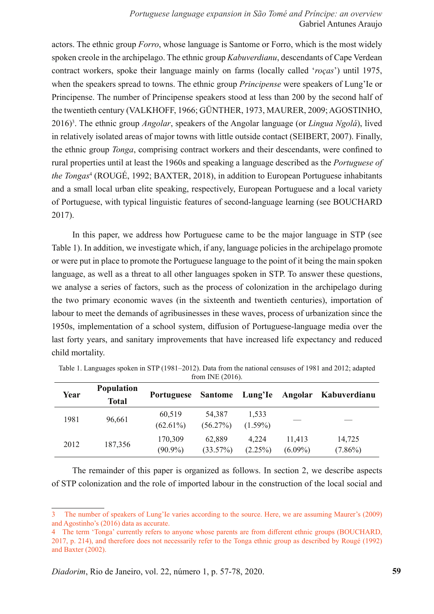*Portuguese language expansion in São Tomé and Príncipe: an overview* Gabriel Antunes Araujo

actors. The ethnic group *Forro*, whose language is Santome or Forro, which is the most widely spoken creole in the archipelago. The ethnic group *Kabuverdianu*, descendants of Cape Verdean contract workers, spoke their language mainly on farms (locally called '*roças*') until 1975, when the speakers spread to towns. The ethnic group *Principense* were speakers of Lung'Ie or Principense. The number of Principense speakers stood at less than 200 by the second half of the twentieth century (VALKHOFF, 1966; GÜNTHER, 1973, MAURER, 2009; AGOSTINHO, 2016)3 . The ethnic group *Angolar*, speakers of the Angolar language (or *Lingua Ngolá*), lived in relatively isolated areas of major towns with little outside contact (SEIBERT, 2007). Finally, the ethnic group *Tonga*, comprising contract workers and their descendants, were confined to rural properties until at least the 1960s and speaking a language described as the *Portuguese of the Tongas*<sup>4</sup> (ROUGÉ, 1992; BAXTER, 2018), in addition to European Portuguese inhabitants and a small local urban elite speaking, respectively, European Portuguese and a local variety of Portuguese, with typical linguistic features of second-language learning (see BOUCHARD 2017).

In this paper, we address how Portuguese came to be the major language in STP (see Table 1). In addition, we investigate which, if any, language policies in the archipelago promote or were put in place to promote the Portuguese language to the point of it being the main spoken language, as well as a threat to all other languages spoken in STP. To answer these questions, we analyse a series of factors, such as the process of colonization in the archipelago during the two primary economic waves (in the sixteenth and twentieth centuries), importation of labour to meet the demands of agribusinesses in these waves, process of urbanization since the 1950s, implementation of a school system, diffusion of Portuguese-language media over the last forty years, and sanitary improvements that have increased life expectancy and reduced child mortality.

| Year | <b>Population</b><br><b>Total</b> | <b>Portuguese</b>     | Santome Lung'le    |                     | Angolar              | Kabuverdianu         |
|------|-----------------------------------|-----------------------|--------------------|---------------------|----------------------|----------------------|
| 1981 | 96,661                            | 60,519<br>$(62.61\%)$ | 54,387<br>(56.27%) | 1,533<br>$(1.59\%)$ |                      |                      |
| 2012 | 187,356                           | 170,309<br>$(90.9\%)$ | 62.889<br>(33.57%) | 4.224<br>$(2.25\%)$ | 11,413<br>$(6.09\%)$ | 14,725<br>$(7.86\%)$ |

Table 1. Languages spoken in STP (1981–2012). Data from the national censuses of 1981 and 2012; adapted from INE (2016).

The remainder of this paper is organized as follows. In section 2, we describe aspects of STP colonization and the role of imported labour in the construction of the local social and

<sup>3</sup> The number of speakers of Lung'Ie varies according to the source. Here, we are assuming Maurer's (2009) and Agostinho's (2016) data as accurate.

<sup>4</sup> The term 'Tonga' currently refers to anyone whose parents are from different ethnic groups (BOUCHARD, 2017, p. 214), and therefore does not necessarily refer to the Tonga ethnic group as described by Rougé (1992) and Baxter (2002).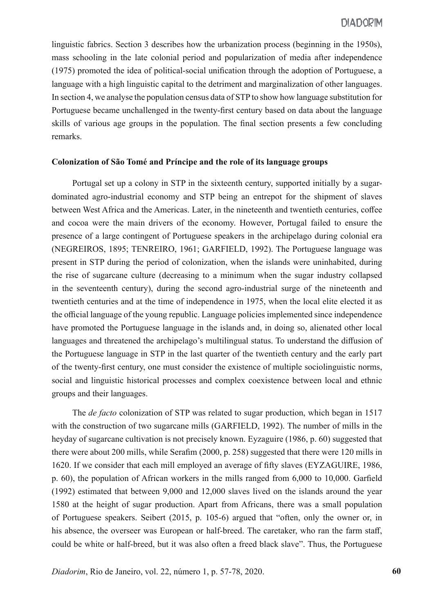linguistic fabrics. Section 3 describes how the urbanization process (beginning in the 1950s), mass schooling in the late colonial period and popularization of media after independence (1975) promoted the idea of political-social unification through the adoption of Portuguese, a language with a high linguistic capital to the detriment and marginalization of other languages. In section 4, we analyse the population census data of STP to show how language substitution for Portuguese became unchallenged in the twenty-first century based on data about the language skills of various age groups in the population. The final section presents a few concluding remarks.

#### **Colonization of São Tomé and Príncipe and the role of its language groups**

Portugal set up a colony in STP in the sixteenth century, supported initially by a sugardominated agro-industrial economy and STP being an entrepot for the shipment of slaves between West Africa and the Americas. Later, in the nineteenth and twentieth centuries, coffee and cocoa were the main drivers of the economy. However, Portugal failed to ensure the presence of a large contingent of Portuguese speakers in the archipelago during colonial era (NEGREIROS, 1895; TENREIRO, 1961; GARFIELD, 1992). The Portuguese language was present in STP during the period of colonization, when the islands were uninhabited, during the rise of sugarcane culture (decreasing to a minimum when the sugar industry collapsed in the seventeenth century), during the second agro-industrial surge of the nineteenth and twentieth centuries and at the time of independence in 1975, when the local elite elected it as the official language of the young republic. Language policies implemented since independence have promoted the Portuguese language in the islands and, in doing so, alienated other local languages and threatened the archipelago's multilingual status. To understand the diffusion of the Portuguese language in STP in the last quarter of the twentieth century and the early part of the twenty-first century, one must consider the existence of multiple sociolinguistic norms, social and linguistic historical processes and complex coexistence between local and ethnic groups and their languages.

The *de facto* colonization of STP was related to sugar production, which began in 1517 with the construction of two sugarcane mills (GARFIELD, 1992). The number of mills in the heyday of sugarcane cultivation is not precisely known. Eyzaguire (1986, p. 60) suggested that there were about 200 mills, while Serafim (2000, p. 258) suggested that there were 120 mills in 1620. If we consider that each mill employed an average of fifty slaves (EYZAGUIRE, 1986, p. 60), the population of African workers in the mills ranged from 6,000 to 10,000. Garfield (1992) estimated that between 9,000 and 12,000 slaves lived on the islands around the year 1580 at the height of sugar production. Apart from Africans, there was a small population of Portuguese speakers. Seibert (2015, p. 105-6) argued that "often, only the owner or, in his absence, the overseer was European or half-breed. The caretaker, who ran the farm staff, could be white or half-breed, but it was also often a freed black slave". Thus, the Portuguese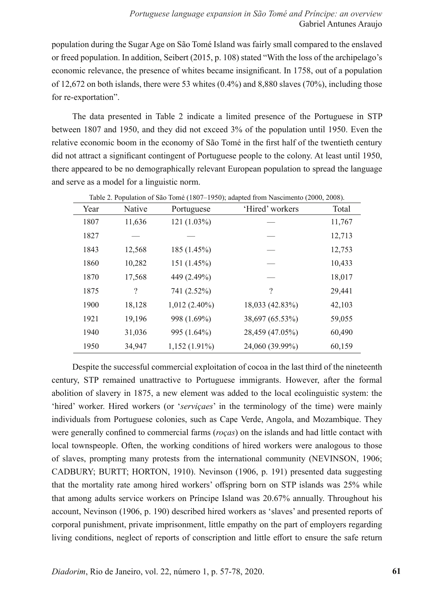population during the Sugar Age on São Tomé Island was fairly small compared to the enslaved or freed population. In addition, Seibert (2015, p. 108) stated "With the loss of the archipelago's economic relevance, the presence of whites became insignificant. In 1758, out of a population of 12,672 on both islands, there were 53 whites (0.4%) and 8,880 slaves (70%), including those for re-exportation".

The data presented in Table 2 indicate a limited presence of the Portuguese in STP between 1807 and 1950, and they did not exceed 3% of the population until 1950. Even the relative economic boom in the economy of São Tomé in the first half of the twentieth century did not attract a significant contingent of Portuguese people to the colony. At least until 1950, there appeared to be no demographically relevant European population to spread the language and serve as a model for a linguistic norm.

| Year | Native             | Portuguese      | 'Hired' workers    | Total  |
|------|--------------------|-----------------|--------------------|--------|
| 1807 | 11,636             | 121 (1.03%)     |                    | 11,767 |
| 1827 |                    |                 |                    | 12,713 |
| 1843 | 12,568             | 185 (1.45%)     |                    | 12,753 |
| 1860 | 10,282             | 151 (1.45%)     |                    | 10,433 |
| 1870 | 17,568             | 449 (2.49%)     |                    | 18,017 |
| 1875 | $\overline{\cdot}$ | 741 (2.52%)     | $\overline{\cdot}$ | 29,441 |
| 1900 | 18,128             | $1,012(2.40\%)$ | 18,033 (42.83%)    | 42,103 |
| 1921 | 19,196             | 998 (1.69%)     | 38,697 (65.53%)    | 59,055 |
| 1940 | 31,036             | 995 (1.64%)     | 28,459 (47.05%)    | 60,490 |
| 1950 | 34,947             | $1,152(1.91\%)$ | 24,060 (39.99%)    | 60,159 |

Table 2. Population of São Tomé (1807–1950); adapted from Nascimento (2000, 2008).

Despite the successful commercial exploitation of cocoa in the last third of the nineteenth century, STP remained unattractive to Portuguese immigrants. However, after the formal abolition of slavery in 1875, a new element was added to the local ecolinguistic system: the 'hired' worker. Hired workers (or '*serviçaes*' in the terminology of the time) were mainly individuals from Portuguese colonies, such as Cape Verde, Angola, and Mozambique. They were generally confined to commercial farms (*roças*) on the islands and had little contact with local townspeople. Often, the working conditions of hired workers were analogous to those of slaves, prompting many protests from the international community (NEVINSON, 1906; CADBURY; BURTT; HORTON, 1910). Nevinson (1906, p. 191) presented data suggesting that the mortality rate among hired workers' offspring born on STP islands was 25% while that among adults service workers on Príncipe Island was 20.67% annually. Throughout his account, Nevinson (1906, p. 190) described hired workers as 'slaves' and presented reports of corporal punishment, private imprisonment, little empathy on the part of employers regarding living conditions, neglect of reports of conscription and little effort to ensure the safe return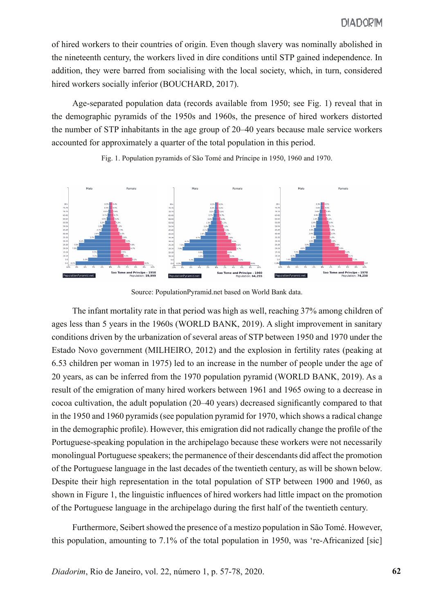of hired workers to their countries of origin. Even though slavery was nominally abolished in the nineteenth century, the workers lived in dire conditions until STP gained independence. In addition, they were barred from socialising with the local society, which, in turn, considered hired workers socially inferior (BOUCHARD, 2017).

Age-separated population data (records available from 1950; see Fig. 1) reveal that in the demographic pyramids of the 1950s and 1960s, the presence of hired workers distorted the number of STP inhabitants in the age group of 20–40 years because male service workers accounted for approximately a quarter of the total population in this period.



Fig. 1. Population pyramids of São Tomé and Príncipe in 1950, 1960 and 1970.

Source: PopulationPyramid.net based on World Bank data.

The infant mortality rate in that period was high as well, reaching 37% among children of ages less than 5 years in the 1960s (WORLD BANK, 2019). A slight improvement in sanitary conditions driven by the urbanization of several areas of STP between 1950 and 1970 under the Estado Novo government (MILHEIRO, 2012) and the explosion in fertility rates (peaking at 6.53 children per woman in 1975) led to an increase in the number of people under the age of 20 years, as can be inferred from the 1970 population pyramid (WORLD BANK, 2019). As a result of the emigration of many hired workers between 1961 and 1965 owing to a decrease in cocoa cultivation, the adult population (20–40 years) decreased significantly compared to that in the 1950 and 1960 pyramids (see population pyramid for 1970, which shows a radical change in the demographic profile). However, this emigration did not radically change the profile of the Portuguese-speaking population in the archipelago because these workers were not necessarily monolingual Portuguese speakers; the permanence of their descendants did affect the promotion of the Portuguese language in the last decades of the twentieth century, as will be shown below. Despite their high representation in the total population of STP between 1900 and 1960, as shown in Figure 1, the linguistic influences of hired workers had little impact on the promotion of the Portuguese language in the archipelago during the first half of the twentieth century.

Furthermore, Seibert showed the presence of a mestizo population in São Tomé. However, this population, amounting to 7.1% of the total population in 1950, was 're-Africanized [sic]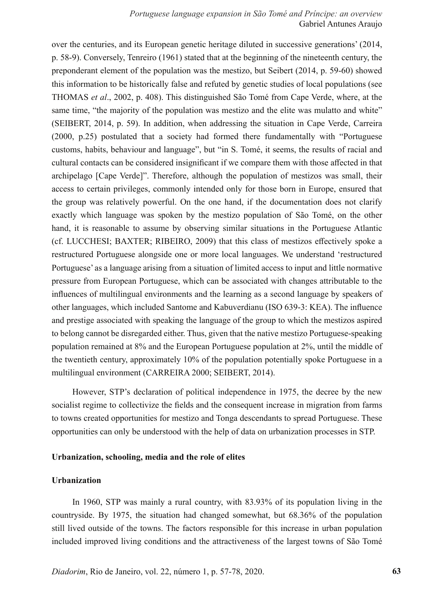over the centuries, and its European genetic heritage diluted in successive generations' (2014, p. 58-9). Conversely, Tenreiro (1961) stated that at the beginning of the nineteenth century, the preponderant element of the population was the mestizo, but Seibert (2014, p. 59-60) showed this information to be historically false and refuted by genetic studies of local populations (see THOMAS *et al*., 2002, p. 408). This distinguished São Tomé from Cape Verde, where, at the same time, "the majority of the population was mestizo and the elite was mulatto and white" (SEIBERT, 2014, p. 59). In addition, when addressing the situation in Cape Verde, Carreira (2000, p.25) postulated that a society had formed there fundamentally with "Portuguese customs, habits, behaviour and language", but "in S. Tomé, it seems, the results of racial and cultural contacts can be considered insignificant if we compare them with those affected in that archipelago [Cape Verde]". Therefore, although the population of mestizos was small, their access to certain privileges, commonly intended only for those born in Europe, ensured that the group was relatively powerful. On the one hand, if the documentation does not clarify exactly which language was spoken by the mestizo population of São Tomé, on the other hand, it is reasonable to assume by observing similar situations in the Portuguese Atlantic (cf. LUCCHESI; BAXTER; RIBEIRO, 2009) that this class of mestizos effectively spoke a restructured Portuguese alongside one or more local languages. We understand 'restructured Portuguese' as a language arising from a situation of limited access to input and little normative pressure from European Portuguese, which can be associated with changes attributable to the influences of multilingual environments and the learning as a second language by speakers of other languages, which included Santome and Kabuverdianu (ISO 639-3: KEA). The influence and prestige associated with speaking the language of the group to which the mestizos aspired to belong cannot be disregarded either. Thus, given that the native mestizo Portuguese-speaking population remained at 8% and the European Portuguese population at 2%, until the middle of the twentieth century, approximately 10% of the population potentially spoke Portuguese in a multilingual environment (CARREIRA 2000; SEIBERT, 2014).

However, STP's declaration of political independence in 1975, the decree by the new socialist regime to collectivize the fields and the consequent increase in migration from farms to towns created opportunities for mestizo and Tonga descendants to spread Portuguese. These opportunities can only be understood with the help of data on urbanization processes in STP.

### **Urbanization, schooling, media and the role of elites**

### **Urbanization**

In 1960, STP was mainly a rural country, with 83.93% of its population living in the countryside. By 1975, the situation had changed somewhat, but 68.36% of the population still lived outside of the towns. The factors responsible for this increase in urban population included improved living conditions and the attractiveness of the largest towns of São Tomé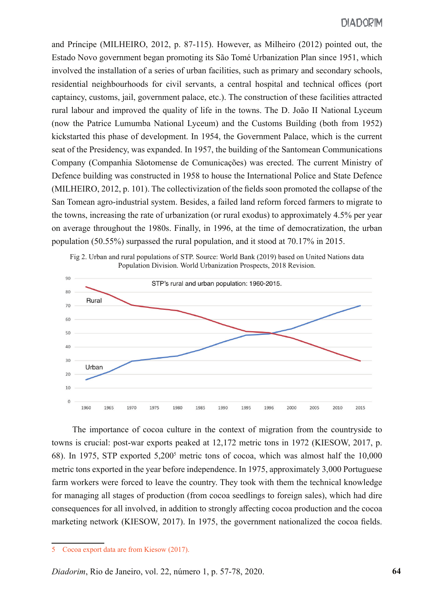and Príncipe (MILHEIRO, 2012, p. 87-115). However, as Milheiro (2012) pointed out, the Estado Novo government began promoting its São Tomé Urbanization Plan since 1951, which involved the installation of a series of urban facilities, such as primary and secondary schools, residential neighbourhoods for civil servants, a central hospital and technical offices (port captaincy, customs, jail, government palace, etc.). The construction of these facilities attracted rural labour and improved the quality of life in the towns. The D. João II National Lyceum (now the Patrice Lumumba National Lyceum) and the Customs Building (both from 1952) kickstarted this phase of development. In 1954, the Government Palace, which is the current seat of the Presidency, was expanded. In 1957, the building of the Santomean Communications Company (Companhia Sãotomense de Comunicações) was erected. The current Ministry of Defence building was constructed in 1958 to house the International Police and State Defence (MILHEIRO, 2012, p. 101). The collectivization of the fields soon promoted the collapse of the San Tomean agro-industrial system. Besides, a failed land reform forced farmers to migrate to the towns, increasing the rate of urbanization (or rural exodus) to approximately 4.5% per year on average throughout the 1980s. Finally, in 1996, at the time of democratization, the urban population (50.55%) surpassed the rural population, and it stood at 70.17% in 2015.



The importance of cocoa culture in the context of migration from the countryside to towns is crucial: post-war exports peaked at 12,172 metric tons in 1972 (KIESOW, 2017, p. 68). In 1975, STP exported 5,200<sup>5</sup> metric tons of cocoa, which was almost half the 10,000 metric tons exported in the year before independence. In 1975, approximately 3,000 Portuguese farm workers were forced to leave the country. They took with them the technical knowledge for managing all stages of production (from cocoa seedlings to foreign sales), which had dire consequences for all involved, in addition to strongly affecting cocoa production and the cocoa marketing network (KIESOW, 2017). In 1975, the government nationalized the cocoa fields.

<sup>5</sup> Cocoa export data are from Kiesow (2017).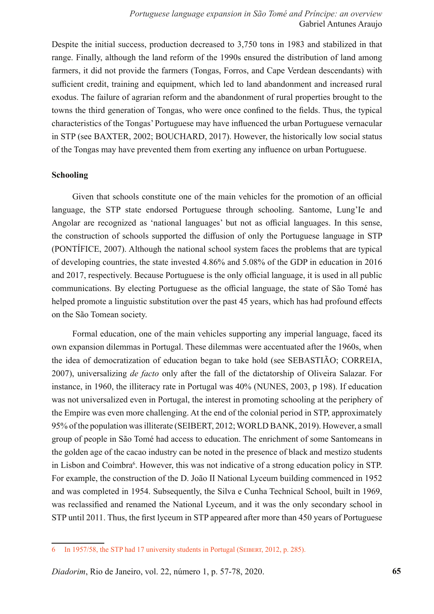Despite the initial success, production decreased to 3,750 tons in 1983 and stabilized in that range. Finally, although the land reform of the 1990s ensured the distribution of land among farmers, it did not provide the farmers (Tongas, Forros, and Cape Verdean descendants) with sufficient credit, training and equipment, which led to land abandonment and increased rural exodus. The failure of agrarian reform and the abandonment of rural properties brought to the towns the third generation of Tongas, who were once confined to the fields. Thus, the typical characteristics of the Tongas' Portuguese may have influenced the urban Portuguese vernacular in STP (see BAXTER, 2002; BOUCHARD, 2017). However, the historically low social status of the Tongas may have prevented them from exerting any influence on urban Portuguese.

## **Schooling**

Given that schools constitute one of the main vehicles for the promotion of an official language, the STP state endorsed Portuguese through schooling. Santome, Lung'Ie and Angolar are recognized as 'national languages' but not as official languages. In this sense, the construction of schools supported the diffusion of only the Portuguese language in STP (PONTÍFICE, 2007). Although the national school system faces the problems that are typical of developing countries, the state invested 4.86% and 5.08% of the GDP in education in 2016 and 2017, respectively. Because Portuguese is the only official language, it is used in all public communications. By electing Portuguese as the official language, the state of São Tomé has helped promote a linguistic substitution over the past 45 years, which has had profound effects on the São Tomean society.

Formal education, one of the main vehicles supporting any imperial language, faced its own expansion dilemmas in Portugal. These dilemmas were accentuated after the 1960s, when the idea of democratization of education began to take hold (see SEBASTIÃO; CORREIA, 2007), universalizing *de facto* only after the fall of the dictatorship of Oliveira Salazar. For instance, in 1960, the illiteracy rate in Portugal was 40% (NUNES, 2003, p 198). If education was not universalized even in Portugal, the interest in promoting schooling at the periphery of the Empire was even more challenging. At the end of the colonial period in STP, approximately 95% of the population was illiterate (SEIBERT, 2012; WORLD BANK, 2019). However, a small group of people in São Tomé had access to education. The enrichment of some Santomeans in the golden age of the cacao industry can be noted in the presence of black and mestizo students in Lisbon and Coimbra<sup>6</sup>. However, this was not indicative of a strong education policy in STP. For example, the construction of the D. João II National Lyceum building commenced in 1952 and was completed in 1954. Subsequently, the Silva e Cunha Technical School, built in 1969, was reclassified and renamed the National Lyceum, and it was the only secondary school in STP until 2011. Thus, the first lyceum in STP appeared after more than 450 years of Portuguese

<sup>6</sup> In 1957/58, the STP had 17 university students in Portugal (Seibert, 2012, p. 285).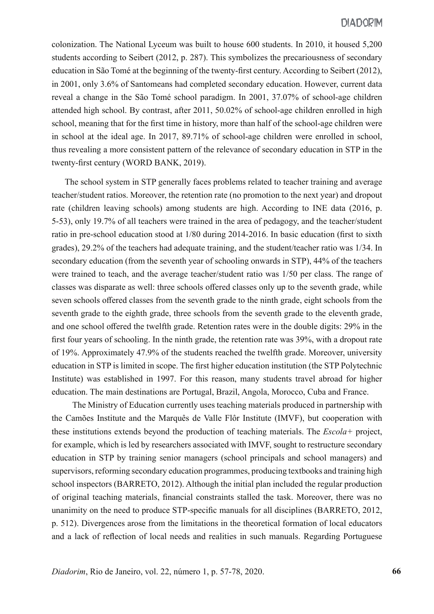colonization. The National Lyceum was built to house 600 students. In 2010, it housed 5,200 students according to Seibert (2012, p. 287). This symbolizes the precariousness of secondary education in São Tomé at the beginning of the twenty-first century. According to Seibert (2012), in 2001, only 3.6% of Santomeans had completed secondary education. However, current data reveal a change in the São Tomé school paradigm. In 2001, 37.07% of school-age children attended high school. By contrast, after 2011, 50.02% of school-age children enrolled in high school, meaning that for the first time in history, more than half of the school-age children were in school at the ideal age. In 2017, 89.71% of school-age children were enrolled in school, thus revealing a more consistent pattern of the relevance of secondary education in STP in the twenty-first century (WORD BANK, 2019).

The school system in STP generally faces problems related to teacher training and average teacher/student ratios. Moreover, the retention rate (no promotion to the next year) and dropout rate (children leaving schools) among students are high. According to INE data (2016, p. 5-53), only 19.7% of all teachers were trained in the area of pedagogy, and the teacher/student ratio in pre-school education stood at 1/80 during 2014-2016. In basic education (first to sixth grades), 29.2% of the teachers had adequate training, and the student/teacher ratio was 1/34. In secondary education (from the seventh year of schooling onwards in STP), 44% of the teachers were trained to teach, and the average teacher/student ratio was 1/50 per class. The range of classes was disparate as well: three schools offered classes only up to the seventh grade, while seven schools offered classes from the seventh grade to the ninth grade, eight schools from the seventh grade to the eighth grade, three schools from the seventh grade to the eleventh grade, and one school offered the twelfth grade. Retention rates were in the double digits: 29% in the first four years of schooling. In the ninth grade, the retention rate was 39%, with a dropout rate of 19%. Approximately 47.9% of the students reached the twelfth grade. Moreover, university education in STP is limited in scope. The first higher education institution (the STP Polytechnic Institute) was established in 1997. For this reason, many students travel abroad for higher education. The main destinations are Portugal, Brazil, Angola, Morocco, Cuba and France.

The Ministry of Education currently uses teaching materials produced in partnership with the Camões Institute and the Marquês de Valle Flôr Institute (IMVF), but cooperation with these institutions extends beyond the production of teaching materials. The *Escola+* project, for example, which is led by researchers associated with IMVF, sought to restructure secondary education in STP by training senior managers (school principals and school managers) and supervisors, reforming secondary education programmes, producing textbooks and training high school inspectors (BARRETO, 2012). Although the initial plan included the regular production of original teaching materials, financial constraints stalled the task. Moreover, there was no unanimity on the need to produce STP-specific manuals for all disciplines (BARRETO, 2012, p. 512). Divergences arose from the limitations in the theoretical formation of local educators and a lack of reflection of local needs and realities in such manuals. Regarding Portuguese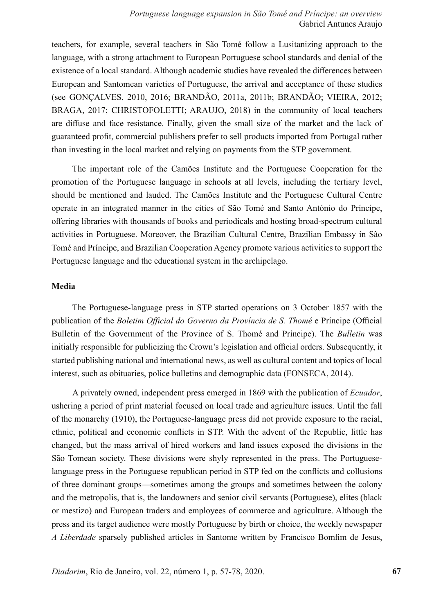teachers, for example, several teachers in São Tomé follow a Lusitanizing approach to the language, with a strong attachment to European Portuguese school standards and denial of the existence of a local standard. Although academic studies have revealed the differences between European and Santomean varieties of Portuguese, the arrival and acceptance of these studies (see GONÇALVES, 2010, 2016; BRANDÃO, 2011a, 2011b; BRANDÃO; VIEIRA, 2012; BRAGA, 2017; CHRISTOFOLETTI; ARAUJO, 2018) in the community of local teachers are diffuse and face resistance. Finally, given the small size of the market and the lack of guaranteed profit, commercial publishers prefer to sell products imported from Portugal rather than investing in the local market and relying on payments from the STP government.

The important role of the Camões Institute and the Portuguese Cooperation for the promotion of the Portuguese language in schools at all levels, including the tertiary level, should be mentioned and lauded. The Camões Institute and the Portuguese Cultural Centre operate in an integrated manner in the cities of São Tomé and Santo António do Príncipe, offering libraries with thousands of books and periodicals and hosting broad-spectrum cultural activities in Portuguese. Moreover, the Brazilian Cultural Centre, Brazilian Embassy in São Tomé and Príncipe, and Brazilian Cooperation Agency promote various activities to support the Portuguese language and the educational system in the archipelago.

## **Media**

The Portuguese-language press in STP started operations on 3 October 1857 with the publication of the *Boletim Official do Governo da Província de S. Thomé* e Príncipe (Official Bulletin of the Government of the Province of S. Thomé and Príncipe). The *Bulletin* was initially responsible for publicizing the Crown's legislation and official orders. Subsequently, it started publishing national and international news, as well as cultural content and topics of local interest, such as obituaries, police bulletins and demographic data (FONSECA, 2014).

A privately owned, independent press emerged in 1869 with the publication of *Ecuador*, ushering a period of print material focused on local trade and agriculture issues. Until the fall of the monarchy (1910), the Portuguese-language press did not provide exposure to the racial, ethnic, political and economic conflicts in STP. With the advent of the Republic, little has changed, but the mass arrival of hired workers and land issues exposed the divisions in the São Tomean society. These divisions were shyly represented in the press. The Portugueselanguage press in the Portuguese republican period in STP fed on the conflicts and collusions of three dominant groups—sometimes among the groups and sometimes between the colony and the metropolis, that is, the landowners and senior civil servants (Portuguese), elites (black or mestizo) and European traders and employees of commerce and agriculture. Although the press and its target audience were mostly Portuguese by birth or choice, the weekly newspaper *A Liberdade* sparsely published articles in Santome written by Francisco Bomfim de Jesus,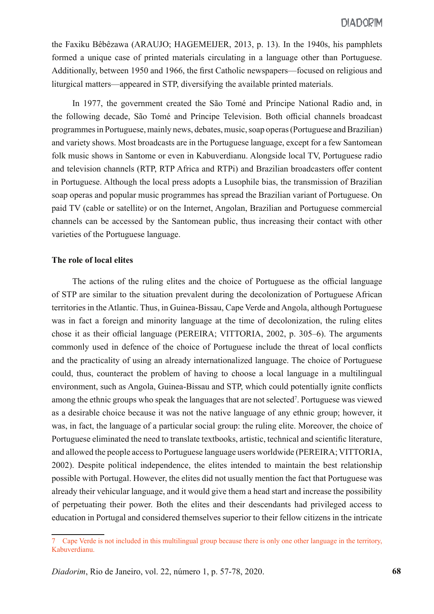the Faxiku Bêbêzawa (ARAUJO; HAGEMEIJER, 2013, p. 13). In the 1940s, his pamphlets formed a unique case of printed materials circulating in a language other than Portuguese. Additionally, between 1950 and 1966, the first Catholic newspapers—focused on religious and liturgical matters—appeared in STP, diversifying the available printed materials.

In 1977, the government created the São Tomé and Príncipe National Radio and, in the following decade, São Tomé and Príncipe Television. Both official channels broadcast programmes in Portuguese, mainly news, debates, music, soap operas (Portuguese and Brazilian) and variety shows. Most broadcasts are in the Portuguese language, except for a few Santomean folk music shows in Santome or even in Kabuverdianu. Alongside local TV, Portuguese radio and television channels (RTP, RTP Africa and RTPi) and Brazilian broadcasters offer content in Portuguese. Although the local press adopts a Lusophile bias, the transmission of Brazilian soap operas and popular music programmes has spread the Brazilian variant of Portuguese. On paid TV (cable or satellite) or on the Internet, Angolan, Brazilian and Portuguese commercial channels can be accessed by the Santomean public, thus increasing their contact with other varieties of the Portuguese language.

## **The role of local elites**

The actions of the ruling elites and the choice of Portuguese as the official language of STP are similar to the situation prevalent during the decolonization of Portuguese African territories in the Atlantic. Thus, in Guinea-Bissau, Cape Verde and Angola, although Portuguese was in fact a foreign and minority language at the time of decolonization, the ruling elites chose it as their official language (PEREIRA; VITTORIA, 2002, p. 305–6). The arguments commonly used in defence of the choice of Portuguese include the threat of local conflicts and the practicality of using an already internationalized language. The choice of Portuguese could, thus, counteract the problem of having to choose a local language in a multilingual environment, such as Angola, Guinea-Bissau and STP, which could potentially ignite conflicts among the ethnic groups who speak the languages that are not selected<sup>7</sup>. Portuguese was viewed as a desirable choice because it was not the native language of any ethnic group; however, it was, in fact, the language of a particular social group: the ruling elite. Moreover, the choice of Portuguese eliminated the need to translate textbooks, artistic, technical and scientific literature, and allowed the people access to Portuguese language users worldwide (PEREIRA; VITTORIA, 2002). Despite political independence, the elites intended to maintain the best relationship possible with Portugal. However, the elites did not usually mention the fact that Portuguese was already their vehicular language, and it would give them a head start and increase the possibility of perpetuating their power. Both the elites and their descendants had privileged access to education in Portugal and considered themselves superior to their fellow citizens in the intricate

<sup>7</sup> Cape Verde is not included in this multilingual group because there is only one other language in the territory, Kabuverdianu.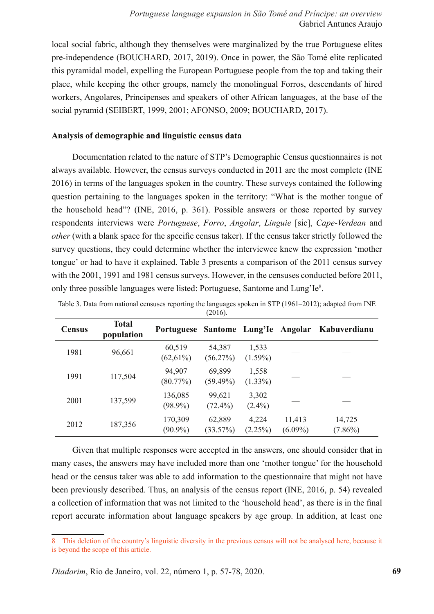local social fabric, although they themselves were marginalized by the true Portuguese elites pre-independence (BOUCHARD, 2017, 2019). Once in power, the São Tomé elite replicated this pyramidal model, expelling the European Portuguese people from the top and taking their place, while keeping the other groups, namely the monolingual Forros, descendants of hired workers, Angolares, Principenses and speakers of other African languages, at the base of the social pyramid (SEIBERT, 1999, 2001; AFONSO, 2009; BOUCHARD, 2017).

## **Analysis of demographic and linguistic census data**

Documentation related to the nature of STP's Demographic Census questionnaires is not always available. However, the census surveys conducted in 2011 are the most complete (INE 2016) in terms of the languages spoken in the country. These surveys contained the following question pertaining to the languages spoken in the territory: "What is the mother tongue of the household head"? (INE, 2016, p. 361). Possible answers or those reported by survey respondents interviews were *Portuguese*, *Forro*, *Angolar*, *Linguie* [sic], *Cape*-*Verdean* and *other* (with a blank space for the specific census taker). If the census taker strictly followed the survey questions, they could determine whether the interviewee knew the expression 'mother tongue' or had to have it explained. Table 3 presents a comparison of the 2011 census survey with the 2001, 1991 and 1981 census surveys. However, in the censuses conducted before 2011, only three possible languages were listed: Portuguese, Santome and Lung'Ie8.

| <b>Census</b> | <b>Total</b><br>population | Portuguese Santome Lung'le |                       |                     | Angolar              | Kabuverdianu         |  |
|---------------|----------------------------|----------------------------|-----------------------|---------------------|----------------------|----------------------|--|
| 1981          | 96,661                     | 60,519<br>$(62,61\%)$      | 54,387<br>(56.27%)    | 1,533<br>$(1.59\%)$ |                      |                      |  |
| 1991          | 117,504                    | 94,907<br>(80.77%)         | 69,899<br>$(59.49\%)$ | 1,558<br>$(1.33\%)$ |                      |                      |  |
| 2001          | 137,599                    | 136,085<br>$(98.9\%)$      | 99,621<br>$(72.4\%)$  | 3,302<br>$(2.4\%)$  |                      |                      |  |
| 2012          | 187,356                    | 170,309<br>$(90.9\%)$      | 62,889<br>(33.57%)    | 4,224<br>(2.25%)    | 11,413<br>$(6.09\%)$ | 14,725<br>$(7.86\%)$ |  |

Table 3. Data from national censuses reporting the languages spoken in STP (1961–2012); adapted from INE (2016).

Given that multiple responses were accepted in the answers, one should consider that in many cases, the answers may have included more than one 'mother tongue' for the household head or the census taker was able to add information to the questionnaire that might not have been previously described. Thus, an analysis of the census report (INE, 2016, p. 54) revealed a collection of information that was not limited to the 'household head', as there is in the final report accurate information about language speakers by age group. In addition, at least one

<sup>8</sup> This deletion of the country's linguistic diversity in the previous census will not be analysed here, because it is beyond the scope of this article.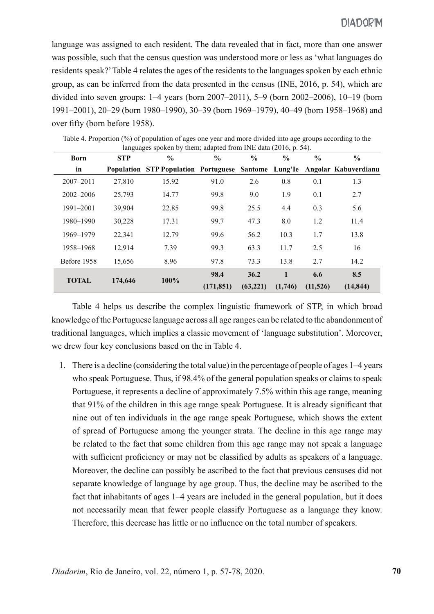language was assigned to each resident. The data revealed that in fact, more than one answer was possible, such that the census question was understood more or less as 'what languages do residents speak?' Table 4 relates the ages of the residents to the languages spoken by each ethnic group, as can be inferred from the data presented in the census (INE, 2016, p. 54), which are divided into seven groups: 1–4 years (born 2007–2011), 5–9 (born 2002–2006), 10–19 (born 1991–2001), 20–29 (born 1980–1990), 30–39 (born 1969–1979), 40–49 (born 1958–1968) and over fifty (born before 1958).

| <b>Born</b>   | <b>STP</b> | $\frac{6}{6}$                                                             | $\frac{0}{0}$ | $\frac{0}{0}$ | $\frac{0}{0}$ | $\frac{6}{6}$ | $\frac{0}{0}$ |
|---------------|------------|---------------------------------------------------------------------------|---------------|---------------|---------------|---------------|---------------|
| in            |            | Population STP Population Portuguese Santome Lung'le Angolar Kabuverdianu |               |               |               |               |               |
| $2007 - 2011$ | 27,810     | 15.92                                                                     | 91.0          | 2.6           | 0.8           | 0.1           | 1.3           |
| $2002 - 2006$ | 25,793     | 14.77                                                                     | 99.8          | 9.0           | 1.9           | 0.1           | 2.7           |
| 1991-2001     | 39,904     | 22.85                                                                     | 99.8          | 25.5          | 4.4           | 0.3           | 5.6           |
| 1980-1990     | 30,228     | 17.31                                                                     | 99.7          | 47.3          | 8.0           | 1.2           | 11.4          |
| 1969-1979     | 22,341     | 12.79                                                                     | 99.6          | 56.2          | 10.3          | 1.7           | 13.8          |
| 1958-1968     | 12,914     | 7.39                                                                      | 99.3          | 63.3          | 11.7          | 2.5           | 16            |
| Before 1958   | 15,656     | 8.96                                                                      | 97.8          | 73.3          | 13.8          | 2.7           | 14.2          |
| <b>TOTAL</b>  | 174,646    | $100\%$                                                                   | 98.4          | 36.2          | 1             | 6.6           | 8.5           |
|               |            |                                                                           | (171, 851)    | (63, 221)     | (1,746)       | (11,526)      | (14, 844)     |

Table 4. Proportion (%) of population of ages one year and more divided into age groups according to the  $\frac{1}{2}$  conclere by them; adapted from INE data (2016, p. 54).

Table 4 helps us describe the complex linguistic framework of STP, in which broad knowledge of the Portuguese language across all age ranges can be related to the abandonment of traditional languages, which implies a classic movement of 'language substitution'. Moreover, we drew four key conclusions based on the in Table 4.

1. There is a decline (considering the total value) in the percentage of people of ages 1–4 years who speak Portuguese. Thus, if 98.4% of the general population speaks or claims to speak Portuguese, it represents a decline of approximately 7.5% within this age range, meaning that 91% of the children in this age range speak Portuguese. It is already significant that nine out of ten individuals in the age range speak Portuguese, which shows the extent of spread of Portuguese among the younger strata. The decline in this age range may be related to the fact that some children from this age range may not speak a language with sufficient proficiency or may not be classified by adults as speakers of a language. Moreover, the decline can possibly be ascribed to the fact that previous censuses did not separate knowledge of language by age group. Thus, the decline may be ascribed to the fact that inhabitants of ages 1–4 years are included in the general population, but it does not necessarily mean that fewer people classify Portuguese as a language they know. Therefore, this decrease has little or no influence on the total number of speakers.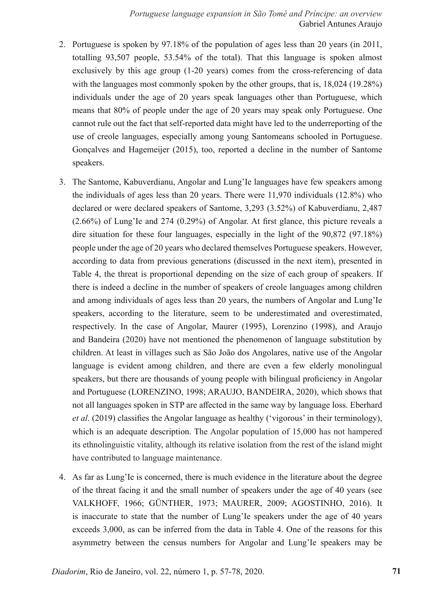- 2. Portuguese is spoken by 97.18% of the population of ages less than 20 years (in 2011, totalling 93,507 people, 53.54% of the total). That this language is spoken almost exclusively by this age group (1-20 years) comes from the cross-referencing of data with the languages most commonly spoken by the other groups, that is, 18,024 (19.28%) individuals under the age of 20 years speak languages other than Portuguese, which means that 80% of people under the age of 20 years may speak only Portuguese. One cannot rule out the fact that self-reported data might have led to the underreporting of the use of creole languages, especially among young Santomeans schooled in Portuguese. Gonçalves and Hagemeijer (2015), too, reported a decline in the number of Santome speakers.
- 3. The Santome, Kabuverdianu, Angolar and Lung'Ie languages have few speakers among the individuals of ages less than 20 years. There were 11,970 individuals (12.8%) who declared or were declared speakers of Santome, 3,293 (3.52%) of Kabuverdianu, 2,487 (2.66%) of Lung'Ie and 274 (0.29%) of Angolar. At first glance, this picture reveals a dire situation for these four languages, especially in the light of the 90,872 (97.18%) people under the age of 20 years who declared themselves Portuguese speakers. However, according to data from previous generations (discussed in the next item), presented in Table 4, the threat is proportional depending on the size of each group of speakers. If there is indeed a decline in the number of speakers of creole languages among children and among individuals of ages less than 20 years, the numbers of Angolar and Lung'Ie speakers, according to the literature, seem to be underestimated and overestimated, respectively. In the case of Angolar, Maurer (1995), Lorenzino (1998), and Araujo and Bandeira (2020) have not mentioned the phenomenon of language substitution by children. At least in villages such as São João dos Angolares, native use of the Angolar language is evident among children, and there are even a few elderly monolingual speakers, but there are thousands of young people with bilingual proficiency in Angolar and Portuguese (LORENZINO, 1998; ARAUJO, BANDEIRA, 2020), which shows that not all languages spoken in STP are affected in the same way by language loss. Eberhard *et al*. (2019) classifies the Angolar language as healthy ('vigorous' in their terminology), which is an adequate description. The Angolar population of 15,000 has not hampered its ethnolinguistic vitality, although its relative isolation from the rest of the island might have contributed to language maintenance.
- 4. As far as Lung'Ie is concerned, there is much evidence in the literature about the degree of the threat facing it and the small number of speakers under the age of 40 years (see VALKHOFF, 1966; GÜNTHER, 1973; MAURER, 2009; AGOSTINHO, 2016). It is inaccurate to state that the number of Lung'Ie speakers under the age of 40 years exceeds 3,000, as can be inferred from the data in Table 4. One of the reasons for this asymmetry between the census numbers for Angolar and Lung'Ie speakers may be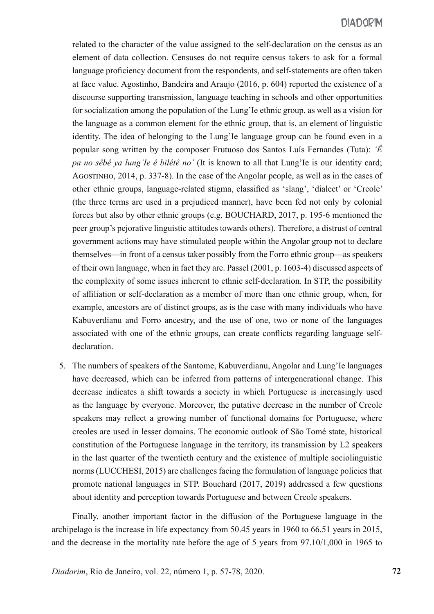## **DIADOPIM**

related to the character of the value assigned to the self-declaration on the census as an element of data collection. Censuses do not require census takers to ask for a formal language proficiency document from the respondents, and self-statements are often taken at face value. Agostinho, Bandeira and Araujo (2016, p. 604) reported the existence of a discourse supporting transmission, language teaching in schools and other opportunities for socialization among the population of the Lung'Ie ethnic group, as well as a vision for the language as a common element for the ethnic group, that is, an element of linguistic identity. The idea of belonging to the Lung'Ie language group can be found even in a popular song written by the composer Frutuoso dos Santos Luís Fernandes (Tuta): *'Ê pa no sêbê ya lung'Ie ê bilêtê no'* (It is known to all that Lung'Ie is our identity card; Agostinho, 2014, p. 337-8). In the case of the Angolar people, as well as in the cases of other ethnic groups, language-related stigma, classified as 'slang', 'dialect' or 'Creole' (the three terms are used in a prejudiced manner), have been fed not only by colonial forces but also by other ethnic groups (e.g. BOUCHARD, 2017, p. 195-6 mentioned the peer group's pejorative linguistic attitudes towards others). Therefore, a distrust of central government actions may have stimulated people within the Angolar group not to declare themselves—in front of a census taker possibly from the Forro ethnic group—as speakers of their own language, when in fact they are. Passel (2001, p. 1603-4) discussed aspects of the complexity of some issues inherent to ethnic self-declaration. In STP, the possibility of affiliation or self-declaration as a member of more than one ethnic group, when, for example, ancestors are of distinct groups, as is the case with many individuals who have Kabuverdianu and Forro ancestry, and the use of one, two or none of the languages associated with one of the ethnic groups, can create conflicts regarding language selfdeclaration.

5. The numbers of speakers of the Santome, Kabuverdianu, Angolar and Lung'Ie languages have decreased, which can be inferred from patterns of intergenerational change. This decrease indicates a shift towards a society in which Portuguese is increasingly used as the language by everyone. Moreover, the putative decrease in the number of Creole speakers may reflect a growing number of functional domains for Portuguese, where creoles are used in lesser domains. The economic outlook of São Tomé state, historical constitution of the Portuguese language in the territory, its transmission by L2 speakers in the last quarter of the twentieth century and the existence of multiple sociolinguistic norms (LUCCHESI, 2015) are challenges facing the formulation of language policies that promote national languages in STP. Bouchard (2017, 2019) addressed a few questions about identity and perception towards Portuguese and between Creole speakers.

Finally, another important factor in the diffusion of the Portuguese language in the archipelago is the increase in life expectancy from 50.45 years in 1960 to 66.51 years in 2015, and the decrease in the mortality rate before the age of 5 years from 97.10/1,000 in 1965 to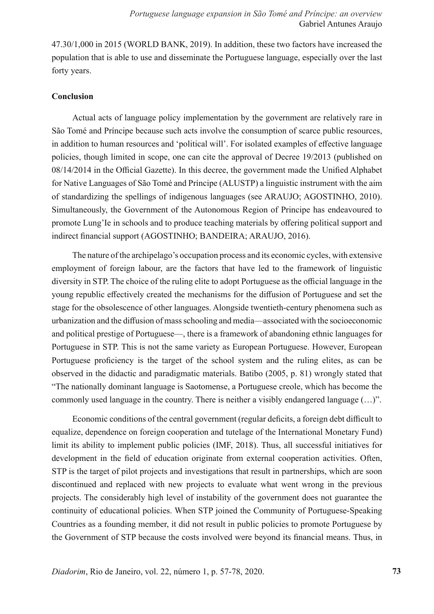47.30/1,000 in 2015 (WORLD BANK, 2019). In addition, these two factors have increased the population that is able to use and disseminate the Portuguese language, especially over the last forty years.

## **Conclusion**

Actual acts of language policy implementation by the government are relatively rare in São Tomé and Príncipe because such acts involve the consumption of scarce public resources, in addition to human resources and 'political will'. For isolated examples of effective language policies, though limited in scope, one can cite the approval of Decree 19/2013 (published on 08/14/2014 in the Official Gazette). In this decree, the government made the Unified Alphabet for Native Languages of São Tomé and Príncipe (ALUSTP) a linguistic instrument with the aim of standardizing the spellings of indigenous languages (see ARAUJO; AGOSTINHO, 2010). Simultaneously, the Government of the Autonomous Region of Principe has endeavoured to promote Lung'Ie in schools and to produce teaching materials by offering political support and indirect financial support (AGOSTINHO; BANDEIRA; ARAUJO, 2016).

The nature of the archipelago's occupation process and its economic cycles, with extensive employment of foreign labour, are the factors that have led to the framework of linguistic diversity in STP. The choice of the ruling elite to adopt Portuguese as the official language in the young republic effectively created the mechanisms for the diffusion of Portuguese and set the stage for the obsolescence of other languages. Alongside twentieth-century phenomena such as urbanization and the diffusion of mass schooling and media—associated with the socioeconomic and political prestige of Portuguese—, there is a framework of abandoning ethnic languages for Portuguese in STP. This is not the same variety as European Portuguese. However, European Portuguese proficiency is the target of the school system and the ruling elites, as can be observed in the didactic and paradigmatic materials. Batibo (2005, p. 81) wrongly stated that "The nationally dominant language is Saotomense, a Portuguese creole, which has become the commonly used language in the country. There is neither a visibly endangered language (…)".

Economic conditions of the central government (regular deficits, a foreign debt difficult to equalize, dependence on foreign cooperation and tutelage of the International Monetary Fund) limit its ability to implement public policies (IMF, 2018). Thus, all successful initiatives for development in the field of education originate from external cooperation activities. Often, STP is the target of pilot projects and investigations that result in partnerships, which are soon discontinued and replaced with new projects to evaluate what went wrong in the previous projects. The considerably high level of instability of the government does not guarantee the continuity of educational policies. When STP joined the Community of Portuguese-Speaking Countries as a founding member, it did not result in public policies to promote Portuguese by the Government of STP because the costs involved were beyond its financial means. Thus, in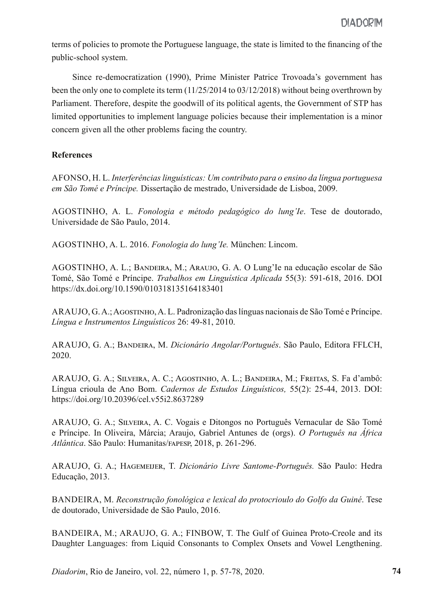terms of policies to promote the Portuguese language, the state is limited to the financing of the public-school system.

Since re-democratization (1990), Prime Minister Patrice Trovoada's government has been the only one to complete its term (11/25/2014 to 03/12/2018) without being overthrown by Parliament. Therefore, despite the goodwill of its political agents, the Government of STP has limited opportunities to implement language policies because their implementation is a minor concern given all the other problems facing the country.

## **References**

AFONSO, H. L. *Interferências linguísticas: Um contributo para o ensino da língua portuguesa em São Tomé e Príncipe.* Dissertação de mestrado, Universidade de Lisboa, 2009.

AGOSTINHO, A. L. *Fonologia e método pedagógico do lung'Ie*. Tese de doutorado, Universidade de São Paulo, 2014.

AGOSTINHO, A. L. 2016. *Fonologia do lung'Ie.* München: Lincom.

AGOSTINHO, A. L.; Bandeira, M.; Araujo, G. A. O Lung'Ie na educação escolar de São Tomé, São Tomé e Príncipe. *Trabalhos em Linguística Aplicada* 55(3): 591-618, 2016. DOI https://dx.doi.org/10.1590/010318135164183401

ARAUJO, G. A.; Agostinho, A. L. Padronização das línguas nacionais de São Tomé e Príncipe. *Língua e Instrumentos Linguísticos* 26: 49-81, 2010.

ARAUJO, G. A.; Bandeira, M. *Dicionário Angolar/Português*. São Paulo, Editora FFLCH, 2020.

ARAUJO, G. A.; Silveira, A. C.; Agostinho, A. L.; Bandeira, M.; Freitas, S. Fa d'ambô: Língua crioula de Ano Bom. *Cadernos de Estudos Linguísticos,* 55(2): 25-44, 2013. DOI: https://doi.org/10.20396/cel.v55i2.8637289

ARAUJO, G. A.; Silveira, A. C. Vogais e Ditongos no Português Vernacular de São Tomé e Príncipe. In Oliveira, Márcia; Araujo, Gabriel Antunes de (orgs). *O Português na África Atlântica*. São Paulo: Humanitas/fapesp, 2018, p. 261-296.

ARAUJO, G. A.; Hagemeijer, T. *Dicionário Livre Santome-Português.* São Paulo: Hedra Educação, 2013.

BANDEIRA, M. *Reconstrução fonológica e lexical do protocrioulo do Golfo da Guiné*. Tese de doutorado, Universidade de São Paulo, 2016.

BANDEIRA, M.; ARAUJO, G. A.; FINBOW, T. The Gulf of Guinea Proto-Creole and its Daughter Languages: from Liquid Consonants to Complex Onsets and Vowel Lengthening.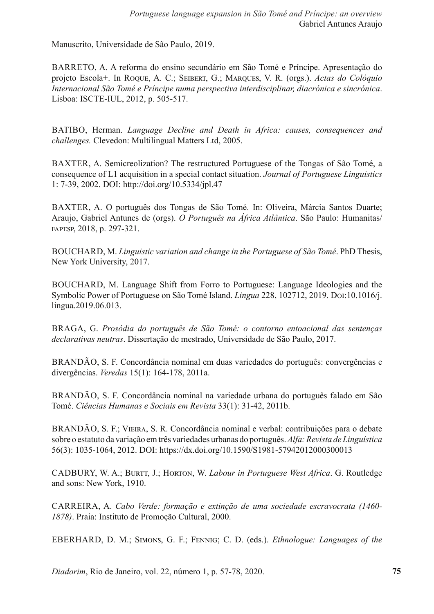Manuscrito, Universidade de São Paulo, 2019.

BARRETO, A. A reforma do ensino secundário em São Tomé e Príncipe. Apresentação do projeto Escola+. In Roque, A. C.; Seibert, G.; Marques, V. R. (orgs.). *Actas do Colóquio Internacional São Tomé e Príncipe numa perspectiva interdisciplinar, diacrónica e sincrónica*. Lisboa: ISCTE-IUL, 2012, p. 505-517.

BATIBO, Herman. *Language Decline and Death in Africa: causes, consequences and challenges.* Clevedon: Multilingual Matters Ltd, 2005.

BAXTER, A. Semicreolization? The restructured Portuguese of the Tongas of São Tomé, a consequence of L1 acquisition in a special contact situation. *Journal of Portuguese Linguistics* 1: 7-39, 2002. DOI: http://doi.org/10.5334/jpl.47

BAXTER, A. O português dos Tongas de São Tomé. In: Oliveira, Márcia Santos Duarte; Araujo, Gabriel Antunes de (orgs). *O Português na África Atlântica*. São Paulo: Humanitas/ fapesp, 2018, p. 297-321.

BOUCHARD, M. *Linguistic variation and change in the Portuguese of São Tomé*. PhD Thesis, New York University, 2017.

BOUCHARD, M. Language Shift from Forro to Portuguese: Language Ideologies and the Symbolic Power of Portuguese on São Tomé Island. *Lingua* 228, 102712, 2019. Doi:10.1016/j. lingua.2019.06.013.

BRAGA, G. *Prosódia do português de São Tomé: o contorno entoacional das sentenças declarativas neutras*. Dissertação de mestrado, Universidade de São Paulo, 2017.

BRANDÃO, S. F. Concordância nominal em duas variedades do português: convergências e divergências. *Veredas* 15(1): 164-178, 2011a.

BRANDÃO, S. F. Concordância nominal na variedade urbana do português falado em São Tomé. *Ciências Humanas e Sociais em Revista* 33(1): 31-42, 2011b.

BRANDÃO, S. F.; Vieira, S. R. Concordância nominal e verbal: contribuições para o debate sobre o estatuto da variação em três variedades urbanas do português. *Alfa: Revista de Linguística* 56(3): 1035-1064, 2012. DOI: https://dx.doi.org/10.1590/S1981-57942012000300013

CADBURY, W. A.; BURTT, J.; HORTON, W. *Labour in Portuguese West Africa*. G. Routledge and sons: New York, 1910.

CARREIRA, A. *Cabo Verde: formação e extinção de uma sociedade escravocrata (1460- 1878)*. Praia: Instituto de Promoção Cultural, 2000.

EBERHARD, D. M.; Simons, G. F.; Fennig; C. D. (eds.). *Ethnologue: Languages of the*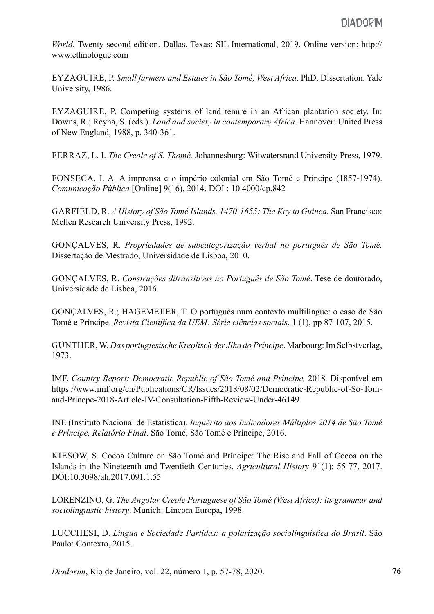*World.* Twenty-second edition. Dallas, Texas: SIL International, 2019. Online version: http:// www.ethnologue.com

EYZAGUIRE, P. *Small farmers and Estates in São Tomé, West Africa*. PhD. Dissertation. Yale University, 1986.

EYZAGUIRE, P. Competing systems of land tenure in an African plantation society. In: Downs, R.; Reyna, S. (eds.). *Land and society in contemporary Africa*. Hannover: United Press of New England, 1988, p. 340-361.

FERRAZ, L. I. *The Creole of S. Thomé.* Johannesburg: Witwatersrand University Press, 1979.

FONSECA, I. A. A imprensa e o império colonial em São Tomé e Príncipe (1857-1974). *Comunicação Pública* [Online] 9(16), 2014. DOI : 10.4000/cp.842

GARFIELD, R. *A History of São Tomé Islands, 1470-1655: The Key to Guinea.* San Francisco: Mellen Research University Press, 1992.

GONÇALVES, R. *Propriedades de subcategorização verbal no português de São Tomé.*  Dissertação de Mestrado, Universidade de Lisboa, 2010.

GONÇALVES, R. *Construções ditransitivas no Português de São Tomé*. Tese de doutorado, Universidade de Lisboa, 2016.

GONÇALVES, R.; HAGEMEJIER, T. O português num contexto multilíngue: o caso de São Tomé e Príncipe. *Revista Científica da UEM: Série ciências sociais*, 1 (1), pp 87-107, 2015.

GÜNTHER, W. *Das portugiesische Kreolisch der Jlha do Príncipe*. Marbourg: Im Selbstverlag, 1973.

IMF. *Country Report: Democratic Republic of São Tomé and Príncipe,* 2018*.* Disponível em https://www.imf.org/en/Publications/CR/Issues/2018/08/02/Democratic-Republic-of-So-Tomand-Princpe-2018-Article-IV-Consultation-Fifth-Review-Under-46149

INE (Instituto Nacional de Estatística). *Inquérito aos Indicadores Múltiplos 2014 de São Tomé e Príncipe, Relatório Final*. São Tomé, São Tomé e Príncipe, 2016.

KIESOW, S. Cocoa Culture on São Tomé and Príncipe: The Rise and Fall of Cocoa on the Islands in the Nineteenth and Twentieth Centuries. *Agricultural History* 91(1): 55-77, 2017. DOI:10.3098/ah.2017.091.1.55

LORENZINO, G. *The Angolar Creole Portuguese of São Tomé (West Africa): its grammar and sociolinguistic history*. Munich: Lincom Europa, 1998.

LUCCHESI, D. *Língua e Sociedade Partidas: a polarização sociolinguística do Brasil*. São Paulo: Contexto, 2015.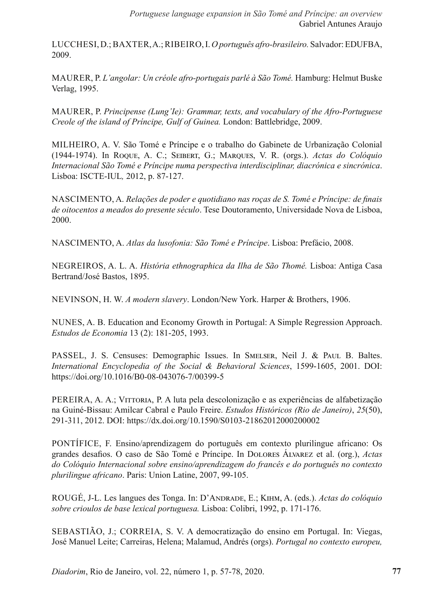LUCCHESI, D.; BAXTER, A.; RIBEIRO, I. *O português afro-brasileiro.* Salvador: EDUFBA, 2009.

MAURER, P. *L'angolar: Un créole afro-portugais parlé à São Tomé*. Hamburg: Helmut Buske Verlag, 1995.

MAURER, P. *Principense (Lung'Ie): Grammar, texts, and vocabulary of the Afro-Portuguese Creole of the island of Príncipe, Gulf of Guinea.* London: Battlebridge, 2009.

MILHEIRO, A. V. São Tomé e Príncipe e o trabalho do Gabinete de Urbanização Colonial (1944-1974). In Roque, A. C.; Seibert, G.; Marques, V. R. (orgs.). *Actas do Colóquio Internacional São Tomé e Príncipe numa perspectiva interdisciplinar, diacrónica e sincrónica*. Lisboa: ISCTE-IUL*,* 2012, p. 87-127.

NASCIMENTO, A. *Relações de poder e quotidiano nas roças de S. Tomé e Príncipe: de finais de oitocentos a meados do presente século*. Tese Doutoramento, Universidade Nova de Lisboa, 2000.

NASCIMENTO, A. *Atlas da lusofonia: São Tomé e Príncipe*. Lisboa: Prefácio, 2008.

NEGREIROS, A. L. A. *História ethnographica da Ilha de São Thomé.* Lisboa: Antiga Casa Bertrand/José Bastos, 1895.

NEVINSON, H. W. *A modern slavery*. London/New York. Harper & Brothers, 1906.

NUNES, A. B. Education and Economy Growth in Portugal: A Simple Regression Approach. *Estudos de Economia* 13 (2): 181-205, 1993.

PASSEL, J. S. Censuses: Demographic Issues. In SMELSER, Neil J. & PAUL B. Baltes. *International Encyclopedia of the Social & Behavioral Sciences*, 1599-1605, 2001. DOI: https://doi.org/10.1016/B0-08-043076-7/00399-5

PEREIRA, A. A.; VITTORIA, P. A luta pela descolonização e as experiências de alfabetização na Guiné-Bissau: Amilcar Cabral e Paulo Freire. *Estudos Históricos (Rio de Janeiro)*, *25*(50), 291-311, 2012. DOI: https://dx.doi.org/10.1590/S0103-21862012000200002

PONTÍFICE, F. Ensino/aprendizagem do português em contexto plurilingue africano: Os grandes desafios. O caso de São Tomé e Príncipe. In Dolores Álvarez et al. (org.), *Actas do Colóquio Internacional sobre ensino/aprendizagem do francês e do português no contexto plurilingue africano*. Paris: Union Latine, 2007, 99-105.

ROUGÉ, J-L. Les langues des Tonga. In: D'Andrade, E.; Kihm, A. (eds.). *Actas do colóquio sobre crioulos de base lexical portuguesa.* Lisboa: Colibri, 1992, p. 171-176.

SEBASTIÃO, J.; CORREIA, S. V. A democratização do ensino em Portugal. In: Viegas, José Manuel Leite; Carreiras, Helena; Malamud, Andrés (orgs). *Portugal no contexto europeu,*